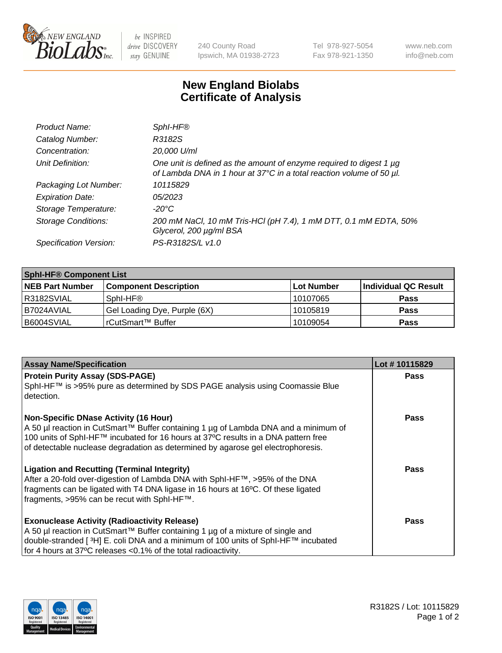

 $be$  INSPIRED drive DISCOVERY stay GENUINE

240 County Road Ipswich, MA 01938-2723 Tel 978-927-5054 Fax 978-921-1350 www.neb.com info@neb.com

## **New England Biolabs Certificate of Analysis**

| Product Name:              | Sphl-HF®                                                                                                                                    |
|----------------------------|---------------------------------------------------------------------------------------------------------------------------------------------|
| Catalog Number:            | R3182S                                                                                                                                      |
| Concentration:             | 20,000 U/ml                                                                                                                                 |
| Unit Definition:           | One unit is defined as the amount of enzyme required to digest 1 µg<br>of Lambda DNA in 1 hour at 37°C in a total reaction volume of 50 µl. |
| Packaging Lot Number:      | 10115829                                                                                                                                    |
| <b>Expiration Date:</b>    | 05/2023                                                                                                                                     |
| Storage Temperature:       | $-20^{\circ}$ C                                                                                                                             |
| <b>Storage Conditions:</b> | 200 mM NaCl, 10 mM Tris-HCl (pH 7.4), 1 mM DTT, 0.1 mM EDTA, 50%<br>Glycerol, 200 µg/ml BSA                                                 |
| Specification Version:     | PS-R3182S/L v1.0                                                                                                                            |

| <b>Sphi-HF® Component List</b> |                              |             |                      |  |  |
|--------------------------------|------------------------------|-------------|----------------------|--|--|
| <b>NEB Part Number</b>         | <b>Component Description</b> | ∣Lot Number | Individual QC Result |  |  |
| R3182SVIAL                     | Sphl-HF®                     | l 10107065  | <b>Pass</b>          |  |  |
| B7024AVIAL                     | Gel Loading Dye, Purple (6X) | 10105819    | <b>Pass</b>          |  |  |
| B6004SVIAL                     | rCutSmart™ Buffer            | 10109054    | <b>Pass</b>          |  |  |

| <b>Assay Name/Specification</b>                                                                                                                                        | Lot #10115829 |
|------------------------------------------------------------------------------------------------------------------------------------------------------------------------|---------------|
| <b>Protein Purity Assay (SDS-PAGE)</b>                                                                                                                                 | <b>Pass</b>   |
| SphI-HF™ is >95% pure as determined by SDS PAGE analysis using Coomassie Blue<br>detection.                                                                            |               |
| <b>Non-Specific DNase Activity (16 Hour)</b>                                                                                                                           | <b>Pass</b>   |
| A 50 µl reaction in CutSmart™ Buffer containing 1 µg of Lambda DNA and a minimum of                                                                                    |               |
| 100 units of SphI-HF™ incubated for 16 hours at 37°C results in a DNA pattern free<br>of detectable nuclease degradation as determined by agarose gel electrophoresis. |               |
|                                                                                                                                                                        |               |
| <b>Ligation and Recutting (Terminal Integrity)</b>                                                                                                                     | Pass          |
| After a 20-fold over-digestion of Lambda DNA with SphI-HF™, >95% of the DNA                                                                                            |               |
| fragments can be ligated with T4 DNA ligase in 16 hours at 16°C. Of these ligated<br>fragments, >95% can be recut with SphI-HF™.                                       |               |
|                                                                                                                                                                        |               |
| <b>Exonuclease Activity (Radioactivity Release)</b>                                                                                                                    | <b>Pass</b>   |
| A 50 µl reaction in CutSmart™ Buffer containing 1 µg of a mixture of single and                                                                                        |               |
| double-stranded [3H] E. coli DNA and a minimum of 100 units of Sphl-HF™ incubated                                                                                      |               |
| for 4 hours at 37°C releases < 0.1% of the total radioactivity.                                                                                                        |               |